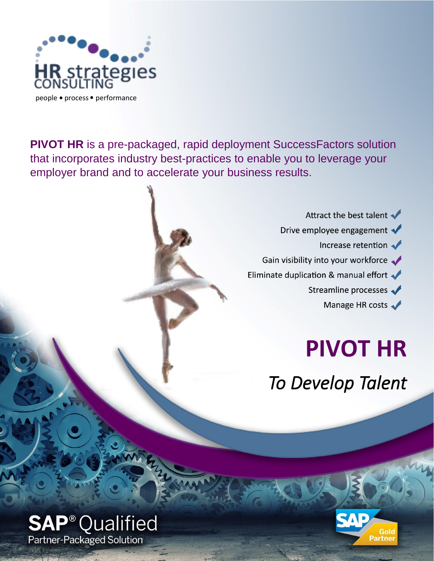

**PIVOT HR** is a pre-packaged, rapid deployment SuccessFactors solution that incorporates industry best-practices to enable you to leverage your employer brand and to accelerate your business results.

> Attract the best talent Drive employee engagement  $\blacklozenge$ Increase retention Gain visibility into your workforce Eliminate duplication & manual effort Streamline processes Manage HR costs

> > **PIVOT HR**

*To Develop Talent*